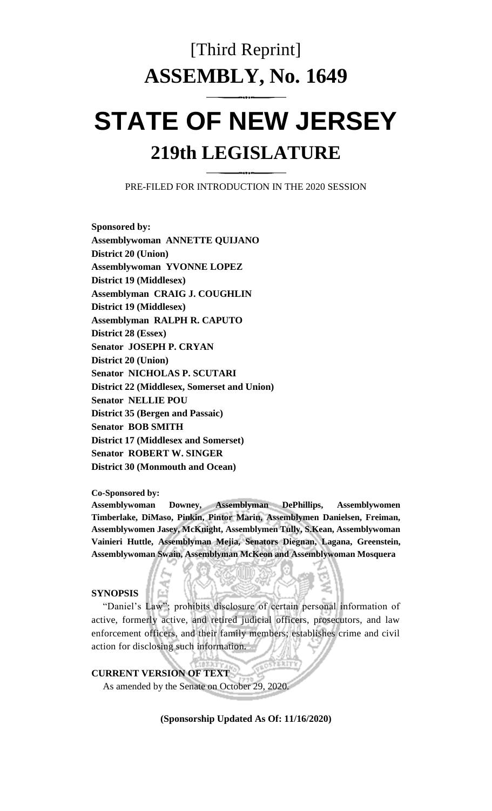# [Third Reprint] **ASSEMBLY, No. 1649**

# **STATE OF NEW JERSEY 219th LEGISLATURE**

PRE-FILED FOR INTRODUCTION IN THE 2020 SESSION

**Sponsored by: Assemblywoman ANNETTE QUIJANO District 20 (Union) Assemblywoman YVONNE LOPEZ District 19 (Middlesex) Assemblyman CRAIG J. COUGHLIN District 19 (Middlesex) Assemblyman RALPH R. CAPUTO District 28 (Essex) Senator JOSEPH P. CRYAN District 20 (Union) Senator NICHOLAS P. SCUTARI District 22 (Middlesex, Somerset and Union) Senator NELLIE POU District 35 (Bergen and Passaic) Senator BOB SMITH District 17 (Middlesex and Somerset) Senator ROBERT W. SINGER District 30 (Monmouth and Ocean)**

**Co-Sponsored by:**

**Assemblywoman Downey, Assemblyman DePhillips, Assemblywomen Timberlake, DiMaso, Pinkin, Pintor Marin, Assemblymen Danielsen, Freiman, Assemblywomen Jasey, McKnight, Assemblymen Tully, S.Kean, Assemblywoman Vainieri Huttle, Assemblyman Mejia, Senators Diegnan, Lagana, Greenstein, Assemblywoman Swain, Assemblyman McKeon and Assemblywoman Mosquera**

#### **SYNOPSIS**

"Daniel's Law"; prohibits disclosure of certain personal information of active, formerly active, and retired judicial officers, prosecutors, and law enforcement officers, and their family members; establishes crime and civil action for disclosing such information.

#### **CURRENT VERSION OF TEXT**

As amended by the Senate on October 29, 2020.

**(Sponsorship Updated As Of: 11/16/2020)**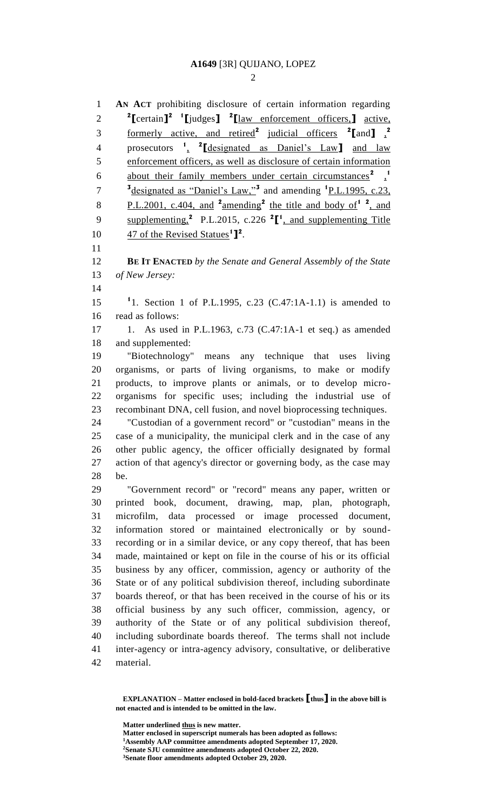**AN ACT** prohibiting disclosure of certain information regarding **[**certain**] 2 1 [**judges**] 2 [**law enforcement officers,**]** active, formerly active, and retired**<sup>2</sup>** judicial officers **<sup>2</sup> [**and**]** , **2** prosecutors **<sup>1</sup>** , **2 [**designated as Daniel's Law**]** and law enforcement officers, as well as disclosure of certain information about their family members under certain circumstances<sup>2</sup><sup>1</sup> <sup>3</sup> Journal as "Daniel's Law,"<sup>3</sup> and amending <sup>1</sup> <u>P.L.1995, c.23</u>, 8 P.L.2001, c.404, and  $2 \times 2 \text{mending}^2$  the title and body of  $12$ , and 9 supplementing,<sup>2</sup> P.L.2015, c.226<sup>2</sup> $[$ <sup>1</sup>, and supplementing Title  $\qquad$  47 of the Revised Statues<sup>1</sup>]<sup>2</sup>. **BE IT ENACTED** *by the Senate and General Assembly of the State of New Jersey:* 1. Section 1 of P.L.1995, c.23 (C.47:1A-1.1) is amended to read as follows: 1. As used in P.L.1963, c.73 (C.47:1A-1 et seq.) as amended and supplemented: "Biotechnology" means any technique that uses living organisms, or parts of living organisms, to make or modify products, to improve plants or animals, or to develop micro- organisms for specific uses; including the industrial use of recombinant DNA, cell fusion, and novel bioprocessing techniques. "Custodian of a government record" or "custodian" means in the case of a municipality, the municipal clerk and in the case of any other public agency, the officer officially designated by formal action of that agency's director or governing body, as the case may be. "Government record" or "record" means any paper, written or printed book, document, drawing, map, plan, photograph, microfilm, data processed or image processed document, information stored or maintained electronically or by sound- recording or in a similar device, or any copy thereof, that has been made, maintained or kept on file in the course of his or its official business by any officer, commission, agency or authority of the State or of any political subdivision thereof, including subordinate boards thereof, or that has been received in the course of his or its official business by any such officer, commission, agency, or authority of the State or of any political subdivision thereof, including subordinate boards thereof. The terms shall not include inter-agency or intra-agency advisory, consultative, or deliberative material.

**Matter underlined thus is new matter.**

**EXPLANATION – Matter enclosed in bold-faced brackets [thus] in the above bill is not enacted and is intended to be omitted in the law.**

**Matter enclosed in superscript numerals has been adopted as follows: Assembly AAP committee amendments adopted September 17, 2020. Senate SJU committee amendments adopted October 22, 2020. Senate floor amendments adopted October 29, 2020.**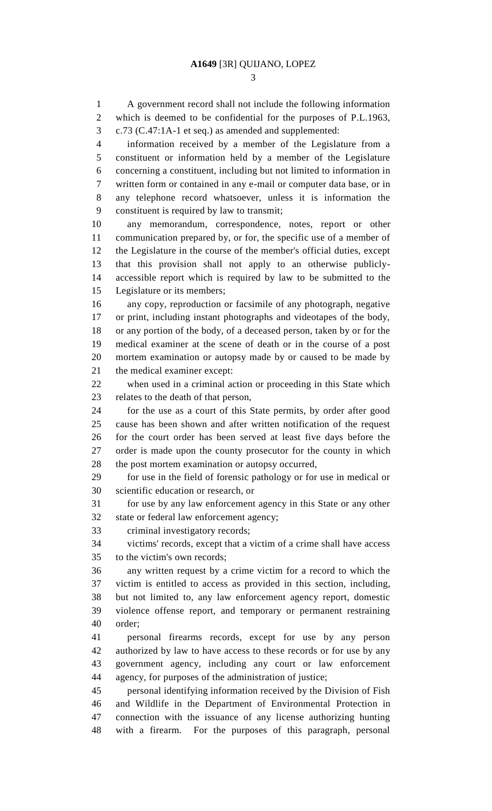A government record shall not include the following information which is deemed to be confidential for the purposes of P.L.1963, c.73 (C.47:1A-1 et seq.) as amended and supplemented: information received by a member of the Legislature from a constituent or information held by a member of the Legislature concerning a constituent, including but not limited to information in written form or contained in any e-mail or computer data base, or in any telephone record whatsoever, unless it is information the constituent is required by law to transmit; any memorandum, correspondence, notes, report or other communication prepared by, or for, the specific use of a member of the Legislature in the course of the member's official duties, except that this provision shall not apply to an otherwise publicly- accessible report which is required by law to be submitted to the Legislature or its members; any copy, reproduction or facsimile of any photograph, negative or print, including instant photographs and videotapes of the body, or any portion of the body, of a deceased person, taken by or for the medical examiner at the scene of death or in the course of a post mortem examination or autopsy made by or caused to be made by the medical examiner except: when used in a criminal action or proceeding in this State which relates to the death of that person, for the use as a court of this State permits, by order after good cause has been shown and after written notification of the request for the court order has been served at least five days before the order is made upon the county prosecutor for the county in which the post mortem examination or autopsy occurred, for use in the field of forensic pathology or for use in medical or scientific education or research, or for use by any law enforcement agency in this State or any other state or federal law enforcement agency; criminal investigatory records; victims' records, except that a victim of a crime shall have access to the victim's own records; any written request by a crime victim for a record to which the victim is entitled to access as provided in this section, including, but not limited to, any law enforcement agency report, domestic violence offense report, and temporary or permanent restraining order; personal firearms records, except for use by any person authorized by law to have access to these records or for use by any government agency, including any court or law enforcement agency, for purposes of the administration of justice; personal identifying information received by the Division of Fish and Wildlife in the Department of Environmental Protection in connection with the issuance of any license authorizing hunting with a firearm. For the purposes of this paragraph, personal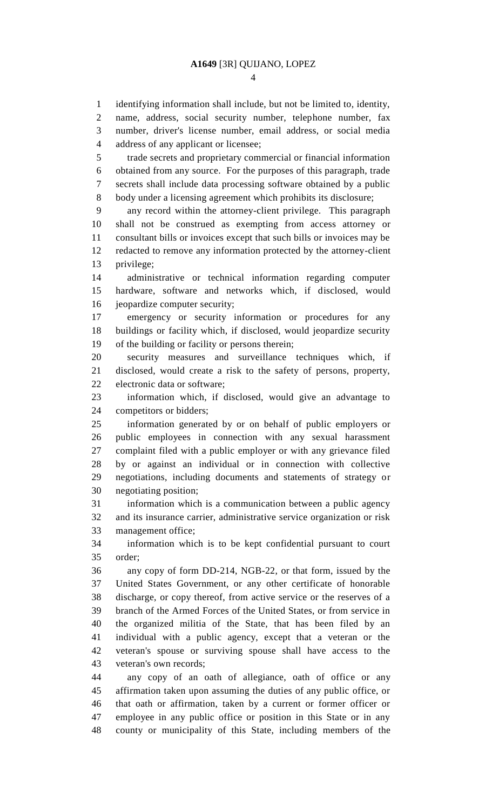identifying information shall include, but not be limited to, identity, name, address, social security number, telephone number, fax number, driver's license number, email address, or social media address of any applicant or licensee; trade secrets and proprietary commercial or financial information obtained from any source. For the purposes of this paragraph, trade secrets shall include data processing software obtained by a public body under a licensing agreement which prohibits its disclosure; any record within the attorney-client privilege. This paragraph shall not be construed as exempting from access attorney or consultant bills or invoices except that such bills or invoices may be redacted to remove any information protected by the attorney-client privilege; administrative or technical information regarding computer hardware, software and networks which, if disclosed, would jeopardize computer security; emergency or security information or procedures for any buildings or facility which, if disclosed, would jeopardize security of the building or facility or persons therein; security measures and surveillance techniques which, if disclosed, would create a risk to the safety of persons, property, electronic data or software; information which, if disclosed, would give an advantage to competitors or bidders; information generated by or on behalf of public employers or public employees in connection with any sexual harassment complaint filed with a public employer or with any grievance filed by or against an individual or in connection with collective negotiations, including documents and statements of strategy or negotiating position; information which is a communication between a public agency and its insurance carrier, administrative service organization or risk management office; information which is to be kept confidential pursuant to court order; any copy of form DD-214, NGB-22, or that form, issued by the United States Government, or any other certificate of honorable discharge, or copy thereof, from active service or the reserves of a branch of the Armed Forces of the United States, or from service in the organized militia of the State, that has been filed by an individual with a public agency, except that a veteran or the veteran's spouse or surviving spouse shall have access to the veteran's own records; any copy of an oath of allegiance, oath of office or any affirmation taken upon assuming the duties of any public office, or that oath or affirmation, taken by a current or former officer or employee in any public office or position in this State or in any county or municipality of this State, including members of the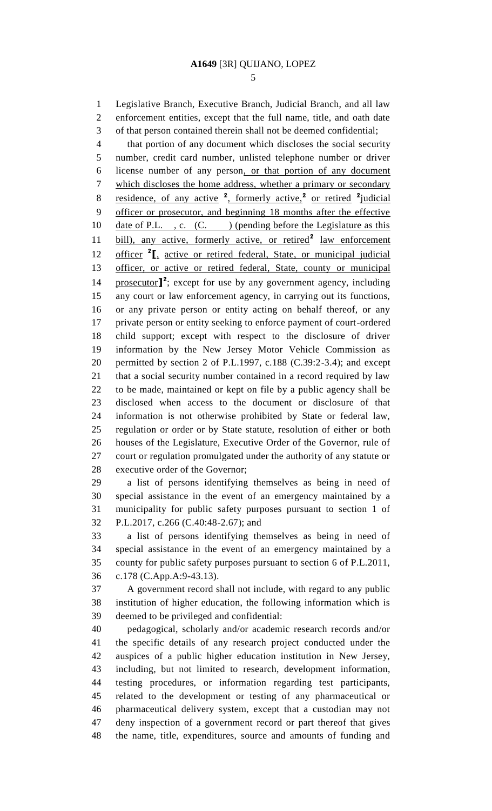Legislative Branch, Executive Branch, Judicial Branch, and all law enforcement entities, except that the full name, title, and oath date

 of that person contained therein shall not be deemed confidential; that portion of any document which discloses the social security number, credit card number, unlisted telephone number or driver license number of any person, or that portion of any document which discloses the home address, whether a primary or secondary 8 residence, of any active <sup>2</sup>, formerly active,<sup>2</sup> or retired <sup>2</sup> judicial officer or prosecutor, and beginning 18 months after the effective 10 date of P.L., c. (C.) (pending before the Legislature as this 11 bill), any active, formerly active, or retired<sup>2</sup> law enforcement **officer** <sup>2</sup><sub>I</sub>, active or retired federal, State, or municipal judicial officer, or active or retired federal, State, county or municipal **prosecutor**<sup>2</sup>; except for use by any government agency, including any court or law enforcement agency, in carrying out its functions, or any private person or entity acting on behalf thereof, or any private person or entity seeking to enforce payment of court-ordered child support; except with respect to the disclosure of driver information by the New Jersey Motor Vehicle Commission as permitted by section 2 of P.L.1997, c.188 (C.39:2-3.4); and except that a social security number contained in a record required by law to be made, maintained or kept on file by a public agency shall be disclosed when access to the document or disclosure of that information is not otherwise prohibited by State or federal law, regulation or order or by State statute, resolution of either or both houses of the Legislature, Executive Order of the Governor, rule of court or regulation promulgated under the authority of any statute or executive order of the Governor;

 a list of persons identifying themselves as being in need of special assistance in the event of an emergency maintained by a municipality for public safety purposes pursuant to section 1 of P.L.2017, c.266 (C.40:48-2.67); and

 a list of persons identifying themselves as being in need of special assistance in the event of an emergency maintained by a county for public safety purposes pursuant to section 6 of P.L.2011, c.178 (C.App.A:9-43.13).

 A government record shall not include, with regard to any public institution of higher education, the following information which is deemed to be privileged and confidential:

 pedagogical, scholarly and/or academic research records and/or the specific details of any research project conducted under the auspices of a public higher education institution in New Jersey, including, but not limited to research, development information, testing procedures, or information regarding test participants, related to the development or testing of any pharmaceutical or pharmaceutical delivery system, except that a custodian may not deny inspection of a government record or part thereof that gives the name, title, expenditures, source and amounts of funding and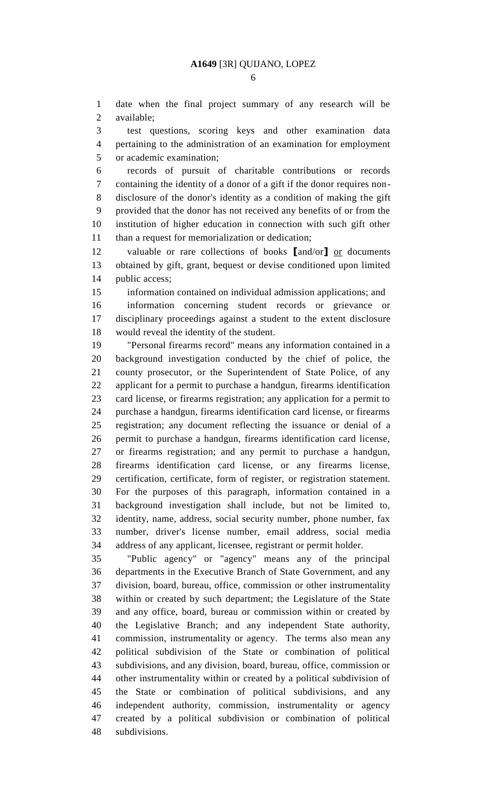date when the final project summary of any research will be available;

 test questions, scoring keys and other examination data pertaining to the administration of an examination for employment or academic examination;

 records of pursuit of charitable contributions or records containing the identity of a donor of a gift if the donor requires non- disclosure of the donor's identity as a condition of making the gift provided that the donor has not received any benefits of or from the institution of higher education in connection with such gift other than a request for memorialization or dedication;

 valuable or rare collections of books **[**and/or**]** or documents obtained by gift, grant, bequest or devise conditioned upon limited 14 public access;

information contained on individual admission applications; and

 information concerning student records or grievance or disciplinary proceedings against a student to the extent disclosure would reveal the identity of the student.

 "Personal firearms record" means any information contained in a background investigation conducted by the chief of police, the county prosecutor, or the Superintendent of State Police, of any applicant for a permit to purchase a handgun, firearms identification card license, or firearms registration; any application for a permit to purchase a handgun, firearms identification card license, or firearms registration; any document reflecting the issuance or denial of a permit to purchase a handgun, firearms identification card license, or firearms registration; and any permit to purchase a handgun, firearms identification card license, or any firearms license, certification, certificate, form of register, or registration statement. For the purposes of this paragraph, information contained in a background investigation shall include, but not be limited to, identity, name, address, social security number, phone number, fax number, driver's license number, email address, social media address of any applicant, licensee, registrant or permit holder.

 "Public agency" or "agency" means any of the principal departments in the Executive Branch of State Government, and any division, board, bureau, office, commission or other instrumentality within or created by such department; the Legislature of the State and any office, board, bureau or commission within or created by the Legislative Branch; and any independent State authority, commission, instrumentality or agency. The terms also mean any political subdivision of the State or combination of political subdivisions, and any division, board, bureau, office, commission or other instrumentality within or created by a political subdivision of the State or combination of political subdivisions, and any independent authority, commission, instrumentality or agency created by a political subdivision or combination of political subdivisions.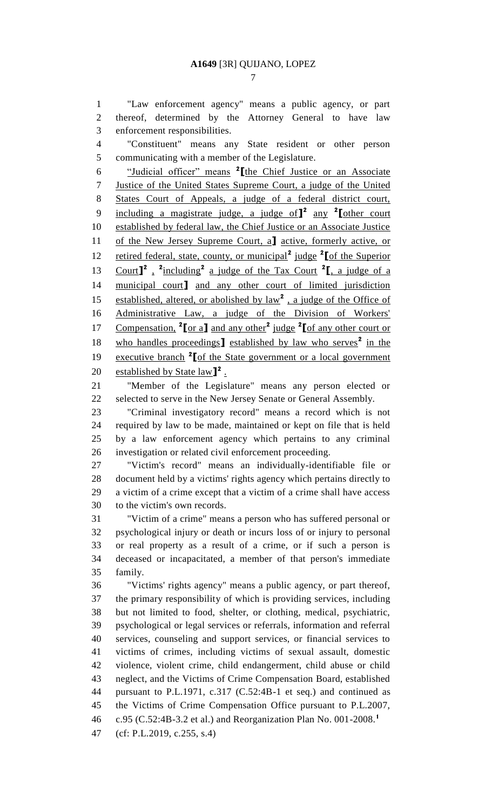"Law enforcement agency" means a public agency, or part thereof, determined by the Attorney General to have law enforcement responsibilities.

 "Constituent" means any State resident or other person communicating with a member of the Legislature.

"Judicial officer" means **<sup>2</sup> [**the Chief Justice or an Associate Justice of the United States Supreme Court, a judge of the United States Court of Appeals, a judge of a federal district court, including a magistrate judge, a judge of**] 2** any **<sup>2</sup> [**other court established by federal law, the Chief Justice or an Associate Justice of the New Jersey Supreme Court, a**]** active, formerly active, or 12 retired federal, state, county, or municipal<sup>2</sup> judge <sup>2</sup>[of the Superior 13 Court<sup>1</sup><sup>2</sup>, <sup>2</sup>including<sup>2</sup> a judge of the Tax Court <sup>2</sup><sup>[</sup>, a judge of a municipal court**]** and any other court of limited jurisdiction 15 established, altered, or abolished by law<sup>2</sup>, a judge of the Office of Administrative Law, a judge of the Division of Workers' Compensation, **<sup>2</sup> [**or a**]** and any other**<sup>2</sup>** judge **<sup>2</sup> [**of any other court or 18 who handles proceedings<sup>1</sup> established by law who serves<sup>2</sup> in the 19 **executive branch** <sup>2</sup> [of the State government or a local government 20 established by State law<sup>1</sup><sup>2</sup>.

 "Member of the Legislature" means any person elected or selected to serve in the New Jersey Senate or General Assembly.

 "Criminal investigatory record" means a record which is not required by law to be made, maintained or kept on file that is held by a law enforcement agency which pertains to any criminal investigation or related civil enforcement proceeding.

 "Victim's record" means an individually-identifiable file or document held by a victims' rights agency which pertains directly to a victim of a crime except that a victim of a crime shall have access to the victim's own records.

 "Victim of a crime" means a person who has suffered personal or psychological injury or death or incurs loss of or injury to personal or real property as a result of a crime, or if such a person is deceased or incapacitated, a member of that person's immediate family.

 "Victims' rights agency" means a public agency, or part thereof, the primary responsibility of which is providing services, including but not limited to food, shelter, or clothing, medical, psychiatric, psychological or legal services or referrals, information and referral services, counseling and support services, or financial services to victims of crimes, including victims of sexual assault, domestic violence, violent crime, child endangerment, child abuse or child neglect, and the Victims of Crime Compensation Board, established pursuant to P.L.1971, c.317 (C.52:4B-1 et seq.) and continued as the Victims of Crime Compensation Office pursuant to P.L.2007, c.95 (C.52:4B-3.2 et al.) and Reorganization Plan No. 001-2008.**<sup>1</sup>** 

(cf: P.L.2019, c.255, s.4)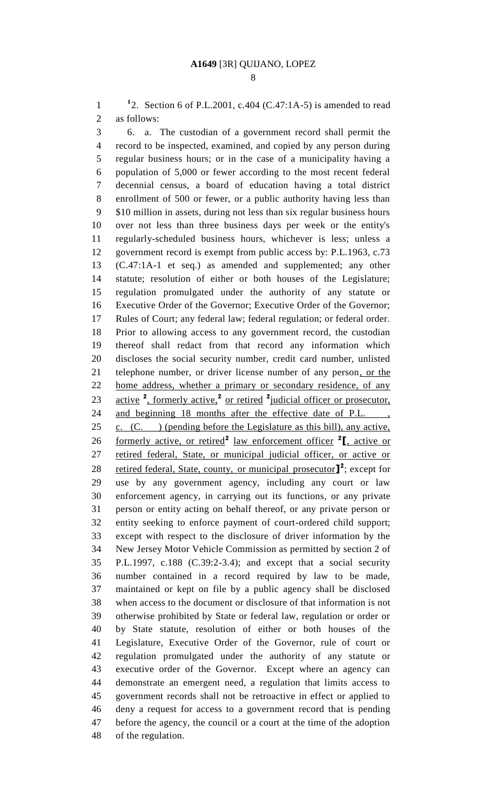1 <sup>1</sup>2. Section 6 of P.L.2001, c.404 (C.47:1A-5) is amended to read as follows:

 6. a. The custodian of a government record shall permit the record to be inspected, examined, and copied by any person during regular business hours; or in the case of a municipality having a population of 5,000 or fewer according to the most recent federal decennial census, a board of education having a total district enrollment of 500 or fewer, or a public authority having less than \$10 million in assets, during not less than six regular business hours over not less than three business days per week or the entity's regularly-scheduled business hours, whichever is less; unless a government record is exempt from public access by: P.L.1963, c.73 (C.47:1A-1 et seq.) as amended and supplemented; any other statute; resolution of either or both houses of the Legislature; regulation promulgated under the authority of any statute or Executive Order of the Governor; Executive Order of the Governor; Rules of Court; any federal law; federal regulation; or federal order. Prior to allowing access to any government record, the custodian thereof shall redact from that record any information which discloses the social security number, credit card number, unlisted telephone number, or driver license number of any person, or the home address, whether a primary or secondary residence, of any 23 active <sup>2</sup>, formerly active,<sup>2</sup> or retired <sup>2</sup> judicial officer or prosecutor, 24 and beginning 18 months after the effective date of P.L., 25 c.  $(C.$  ) (pending before the Legislature as this bill), any active, 26 formerly active, or retired<sup>2</sup> law enforcement officer <sup>2</sup><sub>L</sub>, active or retired federal, State, or municipal judicial officer, or active or 28 retired federal, State, county, or municipal prosecutor<sup>1</sup>, except for use by any government agency, including any court or law enforcement agency, in carrying out its functions, or any private person or entity acting on behalf thereof, or any private person or entity seeking to enforce payment of court-ordered child support; except with respect to the disclosure of driver information by the New Jersey Motor Vehicle Commission as permitted by section 2 of P.L.1997, c.188 (C.39:2-3.4); and except that a social security number contained in a record required by law to be made, maintained or kept on file by a public agency shall be disclosed when access to the document or disclosure of that information is not otherwise prohibited by State or federal law, regulation or order or by State statute, resolution of either or both houses of the Legislature, Executive Order of the Governor, rule of court or regulation promulgated under the authority of any statute or executive order of the Governor. Except where an agency can demonstrate an emergent need, a regulation that limits access to government records shall not be retroactive in effect or applied to deny a request for access to a government record that is pending before the agency, the council or a court at the time of the adoption of the regulation.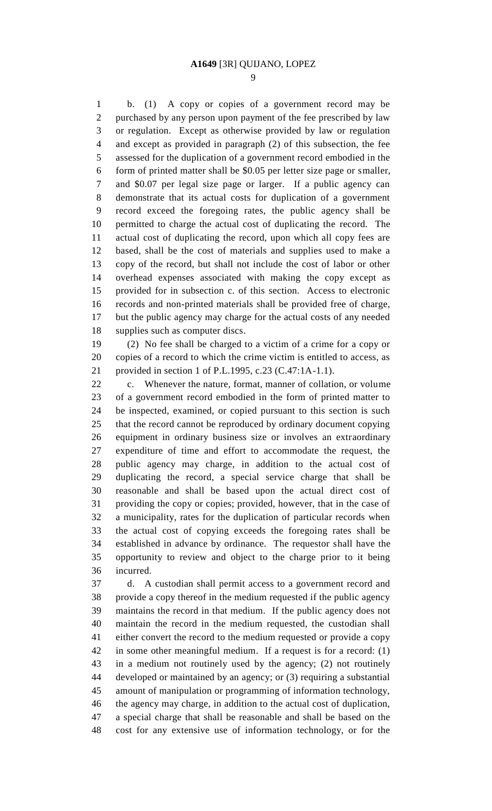b. (1) A copy or copies of a government record may be purchased by any person upon payment of the fee prescribed by law or regulation. Except as otherwise provided by law or regulation and except as provided in paragraph (2) of this subsection, the fee assessed for the duplication of a government record embodied in the form of printed matter shall be \$0.05 per letter size page or smaller, and \$0.07 per legal size page or larger. If a public agency can demonstrate that its actual costs for duplication of a government record exceed the foregoing rates, the public agency shall be permitted to charge the actual cost of duplicating the record. The actual cost of duplicating the record, upon which all copy fees are based, shall be the cost of materials and supplies used to make a copy of the record, but shall not include the cost of labor or other overhead expenses associated with making the copy except as provided for in subsection c. of this section. Access to electronic records and non-printed materials shall be provided free of charge, but the public agency may charge for the actual costs of any needed supplies such as computer discs.

 (2) No fee shall be charged to a victim of a crime for a copy or copies of a record to which the crime victim is entitled to access, as provided in section 1 of P.L.1995, c.23 (C.47:1A-1.1).

 c. Whenever the nature, format, manner of collation, or volume of a government record embodied in the form of printed matter to be inspected, examined, or copied pursuant to this section is such that the record cannot be reproduced by ordinary document copying equipment in ordinary business size or involves an extraordinary expenditure of time and effort to accommodate the request, the public agency may charge, in addition to the actual cost of duplicating the record, a special service charge that shall be reasonable and shall be based upon the actual direct cost of providing the copy or copies; provided, however, that in the case of a municipality, rates for the duplication of particular records when the actual cost of copying exceeds the foregoing rates shall be established in advance by ordinance. The requestor shall have the opportunity to review and object to the charge prior to it being incurred.

 d. A custodian shall permit access to a government record and provide a copy thereof in the medium requested if the public agency maintains the record in that medium. If the public agency does not maintain the record in the medium requested, the custodian shall either convert the record to the medium requested or provide a copy in some other meaningful medium. If a request is for a record: (1) in a medium not routinely used by the agency; (2) not routinely developed or maintained by an agency; or (3) requiring a substantial amount of manipulation or programming of information technology, the agency may charge, in addition to the actual cost of duplication, a special charge that shall be reasonable and shall be based on the cost for any extensive use of information technology, or for the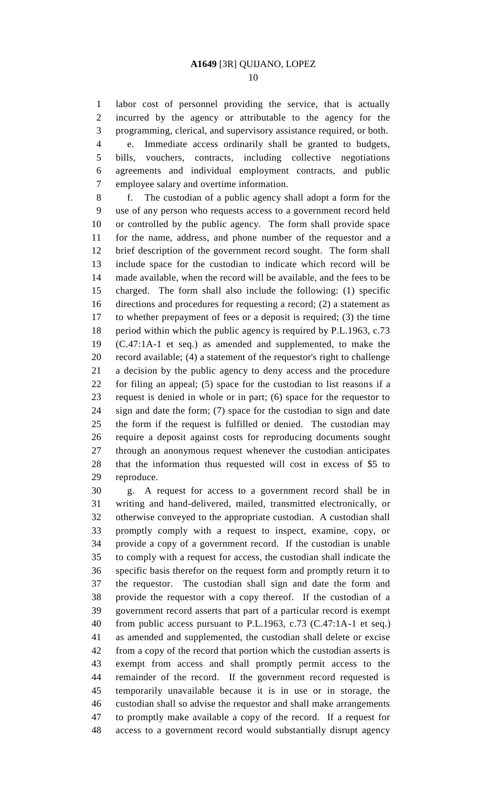labor cost of personnel providing the service, that is actually incurred by the agency or attributable to the agency for the programming, clerical, and supervisory assistance required, or both. e. Immediate access ordinarily shall be granted to budgets, bills, vouchers, contracts, including collective negotiations agreements and individual employment contracts, and public employee salary and overtime information.

 f. The custodian of a public agency shall adopt a form for the use of any person who requests access to a government record held or controlled by the public agency. The form shall provide space for the name, address, and phone number of the requestor and a brief description of the government record sought. The form shall include space for the custodian to indicate which record will be made available, when the record will be available, and the fees to be charged. The form shall also include the following: (1) specific directions and procedures for requesting a record; (2) a statement as to whether prepayment of fees or a deposit is required; (3) the time period within which the public agency is required by P.L.1963, c.73 (C.47:1A-1 et seq.) as amended and supplemented, to make the record available; (4) a statement of the requestor's right to challenge a decision by the public agency to deny access and the procedure for filing an appeal; (5) space for the custodian to list reasons if a request is denied in whole or in part; (6) space for the requestor to sign and date the form; (7) space for the custodian to sign and date the form if the request is fulfilled or denied. The custodian may require a deposit against costs for reproducing documents sought through an anonymous request whenever the custodian anticipates that the information thus requested will cost in excess of \$5 to reproduce.

 g. A request for access to a government record shall be in writing and hand-delivered, mailed, transmitted electronically, or otherwise conveyed to the appropriate custodian. A custodian shall promptly comply with a request to inspect, examine, copy, or provide a copy of a government record. If the custodian is unable to comply with a request for access, the custodian shall indicate the specific basis therefor on the request form and promptly return it to the requestor. The custodian shall sign and date the form and provide the requestor with a copy thereof. If the custodian of a government record asserts that part of a particular record is exempt from public access pursuant to P.L.1963, c.73 (C.47:1A-1 et seq.) as amended and supplemented, the custodian shall delete or excise from a copy of the record that portion which the custodian asserts is exempt from access and shall promptly permit access to the remainder of the record. If the government record requested is temporarily unavailable because it is in use or in storage, the custodian shall so advise the requestor and shall make arrangements to promptly make available a copy of the record. If a request for access to a government record would substantially disrupt agency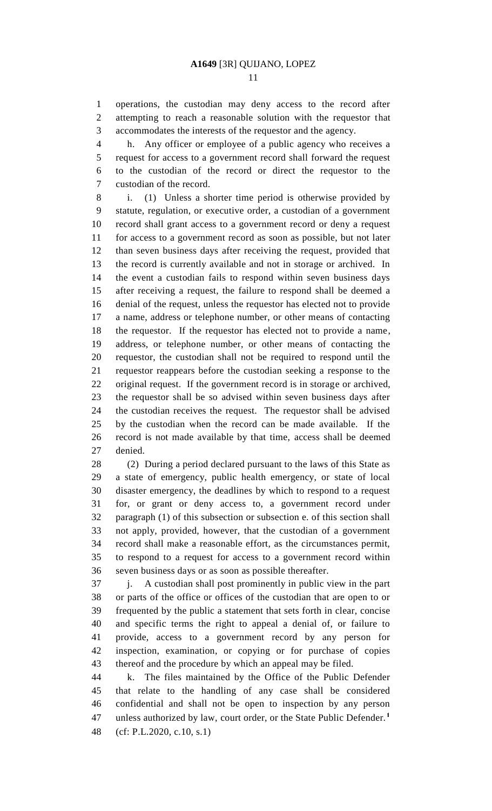operations, the custodian may deny access to the record after attempting to reach a reasonable solution with the requestor that accommodates the interests of the requestor and the agency.

h. Any officer or employee of a public agency who receives a

 request for access to a government record shall forward the request to the custodian of the record or direct the requestor to the custodian of the record.

 i. (1) Unless a shorter time period is otherwise provided by statute, regulation, or executive order, a custodian of a government record shall grant access to a government record or deny a request for access to a government record as soon as possible, but not later than seven business days after receiving the request, provided that the record is currently available and not in storage or archived. In the event a custodian fails to respond within seven business days after receiving a request, the failure to respond shall be deemed a denial of the request, unless the requestor has elected not to provide a name, address or telephone number, or other means of contacting the requestor. If the requestor has elected not to provide a name, address, or telephone number, or other means of contacting the requestor, the custodian shall not be required to respond until the requestor reappears before the custodian seeking a response to the original request. If the government record is in storage or archived, the requestor shall be so advised within seven business days after the custodian receives the request. The requestor shall be advised by the custodian when the record can be made available. If the record is not made available by that time, access shall be deemed denied.

 (2) During a period declared pursuant to the laws of this State as a state of emergency, public health emergency, or state of local disaster emergency, the deadlines by which to respond to a request for, or grant or deny access to, a government record under paragraph (1) of this subsection or subsection e. of this section shall not apply, provided, however, that the custodian of a government record shall make a reasonable effort, as the circumstances permit, to respond to a request for access to a government record within seven business days or as soon as possible thereafter.

 j. A custodian shall post prominently in public view in the part or parts of the office or offices of the custodian that are open to or frequented by the public a statement that sets forth in clear, concise and specific terms the right to appeal a denial of, or failure to provide, access to a government record by any person for inspection, examination, or copying or for purchase of copies thereof and the procedure by which an appeal may be filed.

 k. The files maintained by the Office of the Public Defender that relate to the handling of any case shall be considered confidential and shall not be open to inspection by any person unless authorized by law, court order, or the State Public Defender.**<sup>1</sup>** (cf: P.L.2020, c.10, s.1)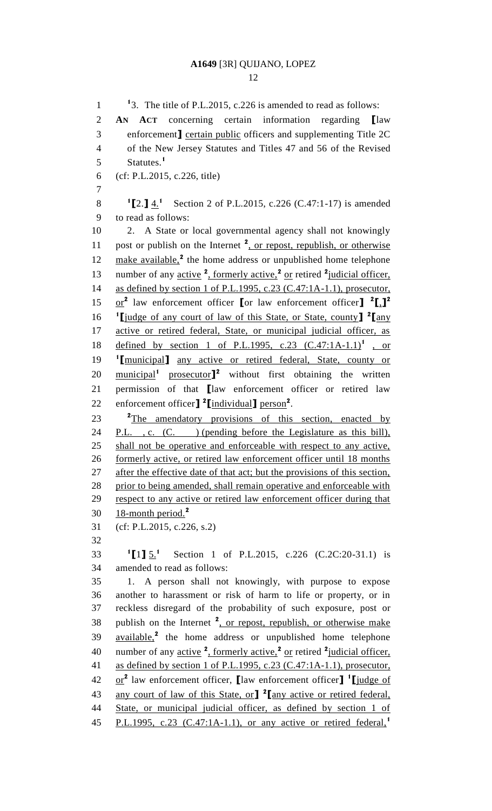12

<sup>1</sup>3. The title of P.L.2015, c.226 is amended to read as follows: 2 **AN ACT** concerning certain information regarding **[**law 3 enforcement**]** certain public officers and supplementing Title 2C 4 of the New Jersey Statutes and Titles 47 and 56 of the Revised Statutes.**<sup>1</sup>** 5 6 (cf: P.L.2015, c.226, title) 7 **1 [**2.**]** 4.**<sup>1</sup>** 8 Section 2 of P.L.2015, c.226 (C.47:1-17) is amended 9 to read as follows: 10 2. A State or local governmental agency shall not knowingly 11 post or publish on the Internet <sup>2</sup>, or repost, republish, or otherwise 12 make available,<sup>2</sup> the home address or unpublished home telephone 13 number of any active <sup>2</sup>, formerly active,<sup>2</sup> or retired <sup>2</sup> judicial officer, 14 as defined by section 1 of P.L.1995, c.23 (C.47:1A-1.1), prosecutor, or**<sup>2</sup>** law enforcement officer **[**or law enforcement officer**] 2 [**,**] 2** 15 **1 [**judge of any court of law of this State, or State, county**] 2** 16 **[**any 17 active or retired federal, State, or municipal judicial officer, as 18 defined by section 1 of P.L.1995, c.23 (C.47:1A-1.1)<sup>1</sup>, or **1** 19 **[**municipal**]** any active or retired federal, State, county or 20 municipal<sup>1</sup> prosecutor<sup>1</sup><sup>2</sup> without first obtaining the written 21 permission of that **[**law enforcement officer or retired law 22 enforcement officer<sup>]</sup><sup>2</sup>[individual] person<sup>2</sup>. 23 <sup>2</sup>The amendatory provisions of this section, enacted by 24 P.L., c. (C.) (pending before the Legislature as this bill), 25 shall not be operative and enforceable with respect to any active, 26 formerly active, or retired law enforcement officer until 18 months 27 after the effective date of that act; but the provisions of this section, 28 prior to being amended, shall remain operative and enforceable with 29 respect to any active or retired law enforcement officer during that 18-month period.**<sup>2</sup>** 30 31 (cf: P.L.2015, c.226, s.2) 32  $^{1}$ [1]  $\frac{5}{1}$ <sup>1</sup> 33 <sup>1</sup>[1] 5.<sup>1</sup> Section 1 of P.L.2015, c.226 (C.2C:20-31.1) is 34 amended to read as follows: 35 1. A person shall not knowingly, with purpose to expose 36 another to harassment or risk of harm to life or property, or in 37 reckless disregard of the probability of such exposure, post or 38 publish on the Internet <sup>2</sup>, or repost, republish, or otherwise make 39 available,<sup>2</sup> the home address or unpublished home telephone 40 number of any active <sup>2</sup>, formerly active,<sup>2</sup> or retired <sup>2</sup> judicial officer, 41 as defined by section 1 of P.L.1995, c.23 (C.47:1A-1.1), prosecutor, 42 **or**<sup>2</sup> law enforcement officer, law enforcement officer] <sup>1</sup> livel any court of law of this State, or**] 2** 43 **[**any active or retired federal, 44 State, or municipal judicial officer, as defined by section 1 of P.L.1995, c.23 (C.47:1A-1.1), or any active or retired federal,**<sup>1</sup>** 45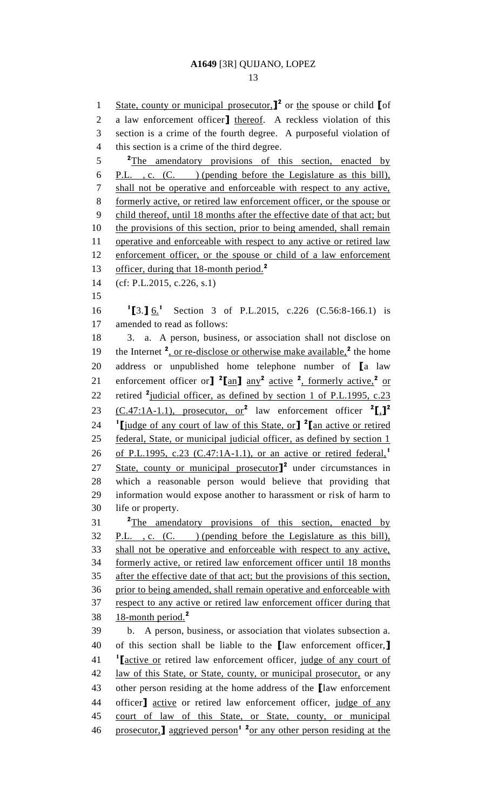1 State, county or municipal prosecutor,<sup>1</sup> or the spouse or child **[**of a law enforcement officer**]** thereof. A reckless violation of this section is a crime of the fourth degree. A purposeful violation of this section is a crime of the third degree. <sup>2</sup>The amendatory provisions of this section, enacted by P.L. , c. (C. ) (pending before the Legislature as this bill), shall not be operative and enforceable with respect to any active, formerly active, or retired law enforcement officer, or the spouse or child thereof, until 18 months after the effective date of that act; but 10 the provisions of this section, prior to being amended, shall remain 11 operative and enforceable with respect to any active or retired law 12 enforcement officer, or the spouse or child of a law enforcement officer, during that 18-month period.**<sup>2</sup>** (cf: P.L.2015, c.226, s.1) 16 <sup>1</sup>[3.] <u>6.</u><sup>1</sup> Section 3 of P.L.2015, c.226 (C.56:8-166.1) is amended to read as follows: 3. a. A person, business, or association shall not disclose on 19 the Internet <sup>2</sup>, or re-disclose or otherwise make available,<sup>2</sup> the home address or unpublished home telephone number of **[**a law 21 enforcement officer or<sup>1</sup>  $\frac{2 \tan^2}{2}$  active <sup>2</sup>, formerly active,<sup>2</sup> or 22 retired <sup>2</sup> judicial officer, as defined by section 1 of P.L.1995, c.23 (C.47:1A-1.1), prosecutor, or**<sup>2</sup>** law enforcement officer **<sup>2</sup> [**,**] 2 1 [**judge of any court of law of this State, or**] 2 [**an active or retired federal, State, or municipal judicial officer, as defined by section 1 of P.L.1995, c.23 (C.47:1A-1.1), or an active or retired federal,**<sup>1</sup>** 27 State, county or municipal prosecutor<sup>1</sup> under circumstances in which a reasonable person would believe that providing that information would expose another to harassment or risk of harm to life or property. **2** The amendatory provisions of this section, enacted by P.L. , c. (C. ) (pending before the Legislature as this bill), shall not be operative and enforceable with respect to any active, formerly active, or retired law enforcement officer until 18 months after the effective date of that act; but the provisions of this section, prior to being amended, shall remain operative and enforceable with respect to any active or retired law enforcement officer during that 18-month period.**<sup>2</sup>** b. A person, business, or association that violates subsection a. of this section shall be liable to the **[**law enforcement officer,**] 1 [**active or retired law enforcement officer, judge of any court of 42 law of this State, or State, county, or municipal prosecutor, or any other person residing at the home address of the **[**law enforcement officer**]** active or retired law enforcement officer, judge of any court of law of this State, or State, county, or municipal 46 prosecutor,**]** aggrieved person<sup>1</sup> <sup>2</sup><sub>or</sub> any other person residing at the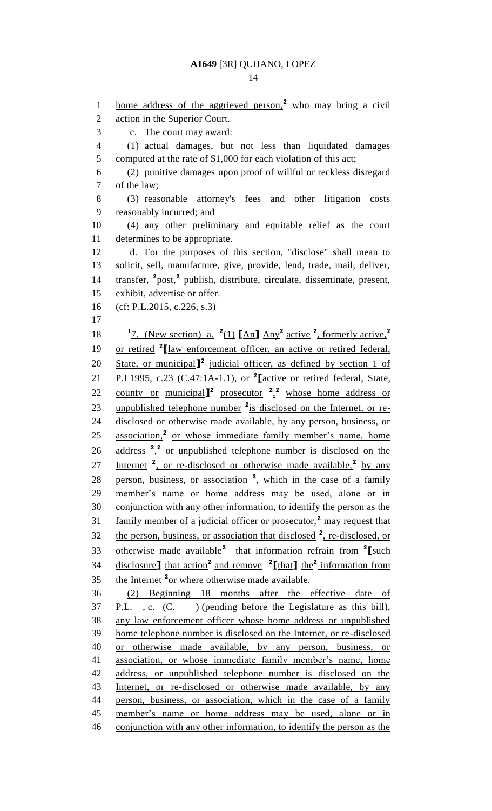1 home address of the aggrieved person,<sup>2</sup> who may bring a civil action in the Superior Court. c. The court may award: (1) actual damages, but not less than liquidated damages 5 computed at the rate of \$1,000 for each violation of this act; (2) punitive damages upon proof of willful or reckless disregard of the law; (3) reasonable attorney's fees and other litigation costs reasonably incurred; and (4) any other preliminary and equitable relief as the court determines to be appropriate. d. For the purposes of this section, "disclose" shall mean to solicit, sell, manufacture, give, provide, lend, trade, mail, deliver, 14 transfer, <sup>2</sup> post,<sup>2</sup> publish, distribute, circulate, disseminate, present, exhibit, advertise or offer. (cf: P.L.2015, c.226, s.3) <sup>1</sup>7. (New section) a. <sup>2</sup>(1)  $\left[ \text{An} \right]$  Any<sup>2</sup> active <sup>2</sup>, formerly active,<sup>2</sup> 19 or retired <sup>2</sup>[law enforcement officer, an active or retired federal, 20 State, or municipal<sup>1</sup> judicial officer, as defined by section 1 of P.L1995, c.23 (C.47:1A-1.1), or **<sup>2</sup> [**active or retired federal, State, 22 county or municipal<sup>2</sup> prosecutor  $\frac{2}{x}$  whose home address or 23 unpublished telephone number <sup>2</sup> is disclosed on the Internet, or re- disclosed or otherwise made available, by any person, business, or 25 association,<sup>2</sup> or whose immediate family member's name, home 26 address  $2^2$  or unpublished telephone number is disclosed on the 27 Internet <sup>2</sup>, or re-disclosed or otherwise made available,<sup>2</sup> by any 28 person, business, or association <sup>2</sup>, which in the case of a family member's name or home address may be used, alone or in conjunction with any other information, to identify the person as the 31 family member of a judicial officer or prosecutor,<sup>2</sup> may request that 32 the person, business, or association that disclosed <sup>2</sup>, re-disclosed, or 33 otherwise made available<sup>2</sup> that information refrain from <sup>2</sup>[such disclosure**]** that action**<sup>2</sup>**and remove **2 [**that**]** the**<sup>2</sup>** information from 35 the Internet <sup>2</sup><sub>or where otherwise made available.</sub> (2) Beginning 18 months after the effective date of P.L. , c. (C. ) (pending before the Legislature as this bill), any law enforcement officer whose home address or unpublished home telephone number is disclosed on the Internet, or re-disclosed or otherwise made available, by any person, business, or association, or whose immediate family member's name, home address, or unpublished telephone number is disclosed on the 43 Internet, or re-disclosed or otherwise made available, by any person, business, or association, which in the case of a family member's name or home address may be used, alone or in conjunction with any other information, to identify the person as the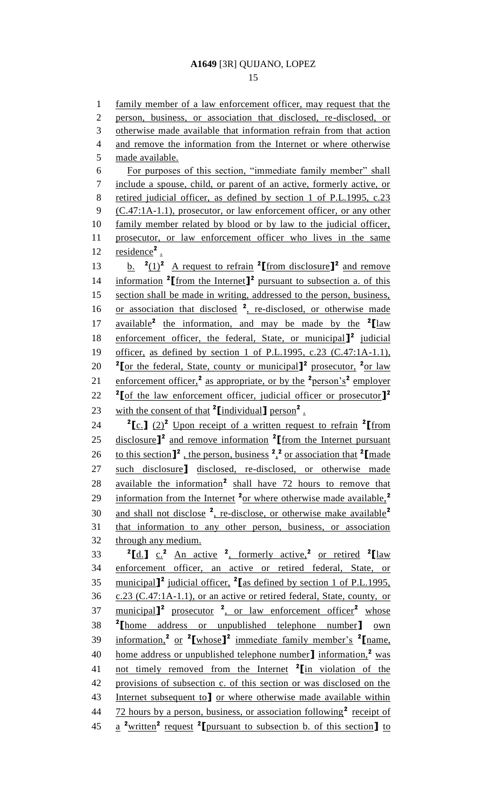#### 15

1 family member of a law enforcement officer, may request that the 2 person, business, or association that disclosed, re-disclosed, or 3 otherwise made available that information refrain from that action 4 and remove the information from the Internet or where otherwise 5 made available. 6 For purposes of this section, "immediate family member" shall 7 include a spouse, child, or parent of an active, formerly active, or 8 retired judicial officer, as defined by section 1 of P.L.1995, c.23 9 (C.47:1A-1.1), prosecutor, or law enforcement officer, or any other 10 family member related by blood or by law to the judicial officer, 11 prosecutor, or law enforcement officer who lives in the same 12 residence<sup>2</sup>. 13 b.  $\frac{2(1)^2}{\text{Area}}$  A request to refrain <sup>2</sup> [from disclosure]<sup>2</sup> and remove 14 information <sup>2</sup>[from the Internet]<sup>2</sup> pursuant to subsection a. of this 15 section shall be made in writing, addressed to the person, business, 16 or association that disclosed <sup>2</sup>, re-disclosed, or otherwise made 17 **available<sup>2</sup> the information, and may be made by the**  $2 \text{[law]}$ 18 enforcement officer, the federal, State, or municipal<sup>1</sup> judicial 19 officer, as defined by section 1 of P.L.1995, c.23 (C.47:1A-1.1), 20 <sup>2</sup>[or the federal, State, county or municipal]<sup>2</sup> prosecutor, <sup>2</sup><sub>or law</sub> 21 enforcement officer,<sup>2</sup> as appropriate, or by the <sup>2</sup>person's<sup>2</sup> employer **2 [**of the law enforcement officer, judicial officer or prosecutor**] 2** 22 23 with the consent of that <sup>2</sup>[individual] person<sup>2</sup>. 24  $\int_0^2 \frac{\cosh(2)}{2} \cdot \frac{\cosh(2)}{2} \cdot \frac{\cosh(2)}{2} \cdot \frac{\cosh(2)}{2} \cdot \frac{\cosh(2)}{2} \cdot \frac{\cosh(2)}{2} \cdot \frac{\cosh(2)}{2} \cdot \frac{\cosh(2)}{2} \cdot \frac{\cosh(2)}{2} \cdot \frac{\cosh(2)}{2} \cdot \frac{\cosh(2)}{2} \cdot \frac{\cosh(2)}{2} \cdot \frac{\cosh(2)}{2} \cdot \frac{\cosh(2)}{2} \cdot \frac{\cosh(2)}{2} \cdot \frac{\cosh(2)}{2} \cdot \frac{\$ 25 disclosure<sup>1</sup><sup>2</sup> and remove information <sup>2</sup> [from the Internet pursuant 26 to this section  $\mathbf{I}^2$ , the person, business  $\frac{2}{\lambda}$  or association that  $\mathbf{I}$  made 27 such disclosure**]** disclosed, re-disclosed, or otherwise made 28 available the information<sup>2</sup> shall have 72 hours to remove that information from the Internet **<sup>2</sup>** or where otherwise made available,**<sup>2</sup>** 29 and shall not disclose **<sup>2</sup>** , re-disclose, or otherwise make available**<sup>2</sup>** 30 31 that information to any other person, business, or association 32 through any medium. 33  ${}^{2}$  $[\underline{d}]$   $\underline{c}$ ,  ${}^{2}$  An active  ${}^{2}$ , formerly active,  ${}^{2}$  or retired  ${}^{2}$  $[\underline{law}]$ 34 enforcement officer, an active or retired federal, State, or municipal**] 2** judicial officer, **<sup>2</sup>** 35 **[**as defined by section 1 of P.L.1995, 36 c.23 (C.47:1A-1.1), or an active or retired federal, State, county, or municipal**] 2** prosecutor **<sup>2</sup>** , or law enforcement officer**<sup>2</sup>** 37 whose **2** 38 **[**home address or unpublished telephone number**]** own information,**<sup>2</sup>** or **<sup>2</sup> [**whose**] 2** immediate family member's **<sup>2</sup>** 39 **[**name, 40 home address or unpublished telephone number<sup>]</sup> information,<sup>2</sup> was not timely removed from the Internet **<sup>2</sup>** 41 **[**in violation of the 42 provisions of subsection c. of this section or was disclosed on the 43 Internet subsequent to**]** or where otherwise made available within 44 72 hours by a person, business, or association following<sup>2</sup> receipt of a **<sup>2</sup>**written**<sup>2</sup>** request **<sup>2</sup>** 45 **[**pursuant to subsection b. of this section**]** to